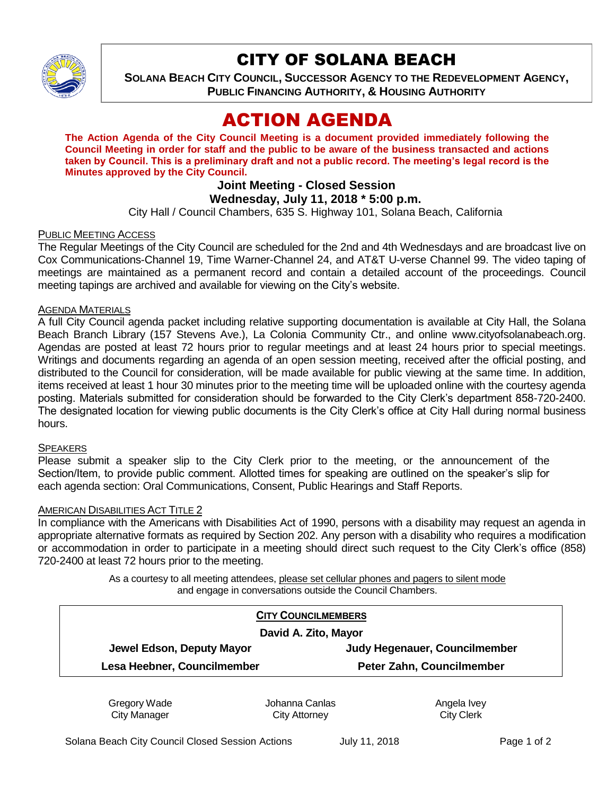

# CITY OF SOLANA BEACH

**SOLANA BEACH CITY COUNCIL, SUCCESSOR AGENCY TO THE REDEVELOPMENT AGENCY, PUBLIC FINANCING AUTHORITY, & HOUSING AUTHORITY** 

# ACTION AGENDA

**The Action Agenda of the City Council Meeting is a document provided immediately following the Council Meeting in order for staff and the public to be aware of the business transacted and actions taken by Council. This is a preliminary draft and not a public record. The meeting's legal record is the Minutes approved by the City Council.**

# **Joint Meeting - Closed Session**

## **Wednesday, July 11, 2018 \* 5:00 p.m.**

City Hall / Council Chambers, 635 S. Highway 101, Solana Beach, California

## PUBLIC MEETING ACCESS

The Regular Meetings of the City Council are scheduled for the 2nd and 4th Wednesdays and are broadcast live on Cox Communications-Channel 19, Time Warner-Channel 24, and AT&T U-verse Channel 99. The video taping of meetings are maintained as a permanent record and contain a detailed account of the proceedings. Council meeting tapings are archived and available for viewing on the City's website.

### AGENDA MATERIALS

A full City Council agenda packet including relative supporting documentation is available at City Hall, the Solana Beach Branch Library (157 Stevens Ave.), La Colonia Community Ctr., and online www.cityofsolanabeach.org. Agendas are posted at least 72 hours prior to regular meetings and at least 24 hours prior to special meetings. Writings and documents regarding an agenda of an open session meeting, received after the official posting, and distributed to the Council for consideration, will be made available for public viewing at the same time. In addition, items received at least 1 hour 30 minutes prior to the meeting time will be uploaded online with the courtesy agenda posting. Materials submitted for consideration should be forwarded to the City Clerk's department 858-720-2400. The designated location for viewing public documents is the City Clerk's office at City Hall during normal business hours.

### **SPEAKERS**

Please submit a speaker slip to the City Clerk prior to the meeting, or the announcement of the Section/Item, to provide public comment. Allotted times for speaking are outlined on the speaker's slip for each agenda section: Oral Communications, Consent, Public Hearings and Staff Reports.

### AMERICAN DISABILITIES ACT TITLE 2

In compliance with the Americans with Disabilities Act of 1990, persons with a disability may request an agenda in appropriate alternative formats as required by Section 202. Any person with a disability who requires a modification or accommodation in order to participate in a meeting should direct such request to the City Clerk's office (858) 720-2400 at least 72 hours prior to the meeting.

> As a courtesy to all meeting attendees, please set cellular phones and pagers to silent mode and engage in conversations outside the Council Chambers.

| <b>CITY COUNCILMEMBERS</b>    |
|-------------------------------|
| David A. Zito, Mayor          |
| Judy Hegenauer, Councilmember |
| Peter Zahn, Councilmember     |
|                               |

Gregory Wade City Manager

Johanna Canlas City Attorney